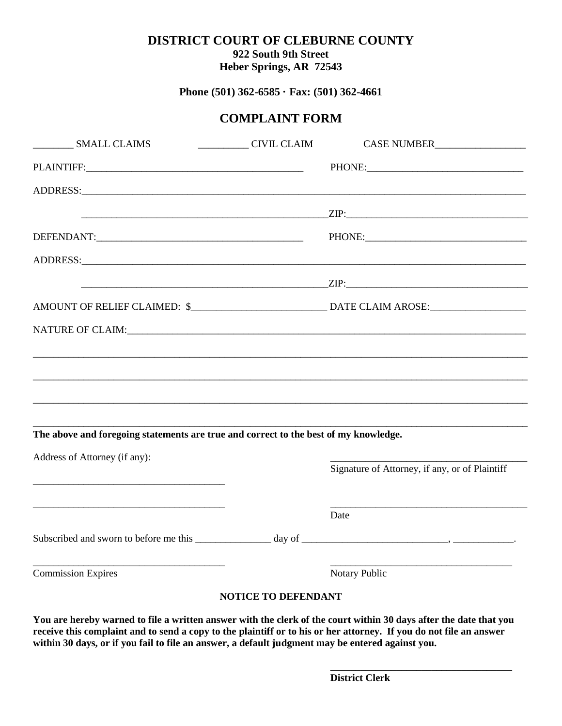## **DISTRICT COURT OF CLEBURNE COUNTY 922 South 9th Street**

**Heber Springs, AR 72543**

**Phone (501) 362-6585 · Fax: (501) 362-4661**

## **COMPLAINT FORM**

| <b>SMALL CLAIMS</b>                                                                                                                                                                                                           | CIVIL CLAIM                | CASE NUMBER                                    |
|-------------------------------------------------------------------------------------------------------------------------------------------------------------------------------------------------------------------------------|----------------------------|------------------------------------------------|
|                                                                                                                                                                                                                               |                            |                                                |
|                                                                                                                                                                                                                               |                            |                                                |
|                                                                                                                                                                                                                               |                            |                                                |
|                                                                                                                                                                                                                               |                            |                                                |
|                                                                                                                                                                                                                               |                            |                                                |
|                                                                                                                                                                                                                               |                            |                                                |
|                                                                                                                                                                                                                               |                            |                                                |
| NATURE OF CLAIM: The contract of the contract of the contract of the contract of the contract of the contract of the contract of the contract of the contract of the contract of the contract of the contract of the contract |                            |                                                |
|                                                                                                                                                                                                                               |                            |                                                |
|                                                                                                                                                                                                                               |                            |                                                |
|                                                                                                                                                                                                                               |                            |                                                |
|                                                                                                                                                                                                                               |                            |                                                |
| The above and foregoing statements are true and correct to the best of my knowledge.                                                                                                                                          |                            |                                                |
| Address of Attorney (if any):                                                                                                                                                                                                 |                            | Signature of Attorney, if any, or of Plaintiff |
|                                                                                                                                                                                                                               |                            | Date                                           |
|                                                                                                                                                                                                                               |                            |                                                |
| <b>Commission Expires</b>                                                                                                                                                                                                     |                            | Notary Public                                  |
|                                                                                                                                                                                                                               | <b>NOTICE TO DEFENDANT</b> |                                                |

**You are hereby warned to file a written answer with the clerk of the court within 30 days after the date that you receive this complaint and to send a copy to the plaintiff or to his or her attorney. If you do not file an answer within 30 days, or if you fail to file an answer, a default judgment may be entered against you.**

**\_\_\_\_\_\_\_\_\_\_\_\_\_\_\_\_\_\_\_\_\_\_\_\_\_\_\_\_\_\_\_\_\_\_\_\_**